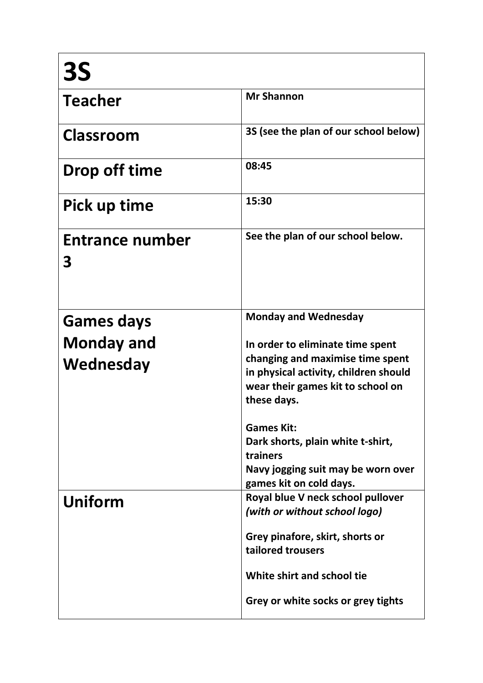| <b>3S</b>                   |                                                                                                                               |
|-----------------------------|-------------------------------------------------------------------------------------------------------------------------------|
| <b>Teacher</b>              | <b>Mr Shannon</b>                                                                                                             |
| Classroom                   | 3S (see the plan of our school below)                                                                                         |
| Drop off time               | 08:45                                                                                                                         |
| Pick up time                | 15:30                                                                                                                         |
| <b>Entrance number</b><br>З | See the plan of our school below.                                                                                             |
| <b>Games days</b>           | <b>Monday and Wednesday</b>                                                                                                   |
| <b>Monday and</b>           | In order to eliminate time spent                                                                                              |
| Wednesday                   | changing and maximise time spent<br>in physical activity, children should<br>wear their games kit to school on<br>these days. |
|                             | <b>Games Kit:</b>                                                                                                             |
|                             | Dark shorts, plain white t-shirt,<br>trainers                                                                                 |
|                             | Navy jogging suit may be worn over<br>games kit on cold days.                                                                 |
| Uniform                     | Royal blue V neck school pullover<br>(with or without school logo)                                                            |
|                             | Grey pinafore, skirt, shorts or<br>tailored trousers                                                                          |
|                             | White shirt and school tie                                                                                                    |
|                             | Grey or white socks or grey tights                                                                                            |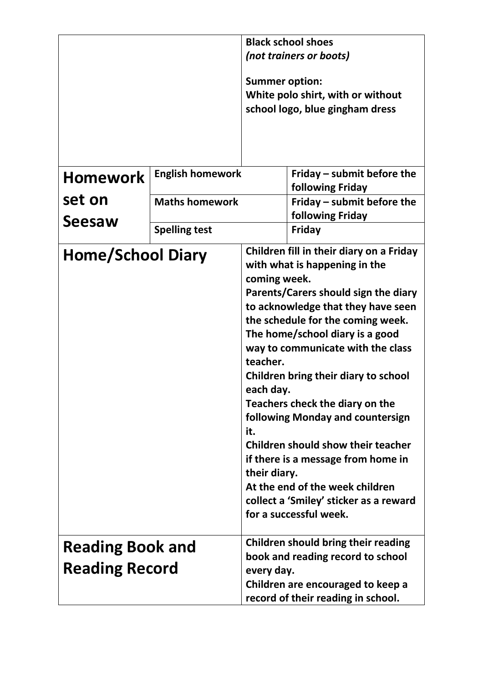|                                                  |                                                                                          | <b>Black school shoes</b> |                                                                                                                                                                                                                                                                                                                                                                                                                                                                                                                                                                        |
|--------------------------------------------------|------------------------------------------------------------------------------------------|---------------------------|------------------------------------------------------------------------------------------------------------------------------------------------------------------------------------------------------------------------------------------------------------------------------------------------------------------------------------------------------------------------------------------------------------------------------------------------------------------------------------------------------------------------------------------------------------------------|
|                                                  |                                                                                          | (not trainers or boots)   |                                                                                                                                                                                                                                                                                                                                                                                                                                                                                                                                                                        |
|                                                  |                                                                                          | <b>Summer option:</b>     | White polo shirt, with or without<br>school logo, blue gingham dress                                                                                                                                                                                                                                                                                                                                                                                                                                                                                                   |
| <b>Homework</b>                                  | <b>English homework</b>                                                                  |                           | Friday – submit before the<br>following Friday                                                                                                                                                                                                                                                                                                                                                                                                                                                                                                                         |
| set on<br><b>Seesaw</b>                          | <b>Maths homework</b>                                                                    |                           | Friday – submit before the<br>following Friday                                                                                                                                                                                                                                                                                                                                                                                                                                                                                                                         |
|                                                  | <b>Spelling test</b>                                                                     |                           | Friday                                                                                                                                                                                                                                                                                                                                                                                                                                                                                                                                                                 |
|                                                  | <b>Home/School Diary</b><br>coming week.<br>teacher.<br>each day.<br>it.<br>their diary. |                           | Children fill in their diary on a Friday<br>with what is happening in the<br>Parents/Carers should sign the diary<br>to acknowledge that they have seen<br>the schedule for the coming week.<br>The home/school diary is a good<br>way to communicate with the class<br>Children bring their diary to school<br>Teachers check the diary on the<br>following Monday and countersign<br>Children should show their teacher<br>if there is a message from home in<br>At the end of the week children<br>collect a 'Smiley' sticker as a reward<br>for a successful week. |
| <b>Reading Book and</b><br><b>Reading Record</b> |                                                                                          | every day.                | Children should bring their reading<br>book and reading record to school<br>Children are encouraged to keep a<br>record of their reading in school.                                                                                                                                                                                                                                                                                                                                                                                                                    |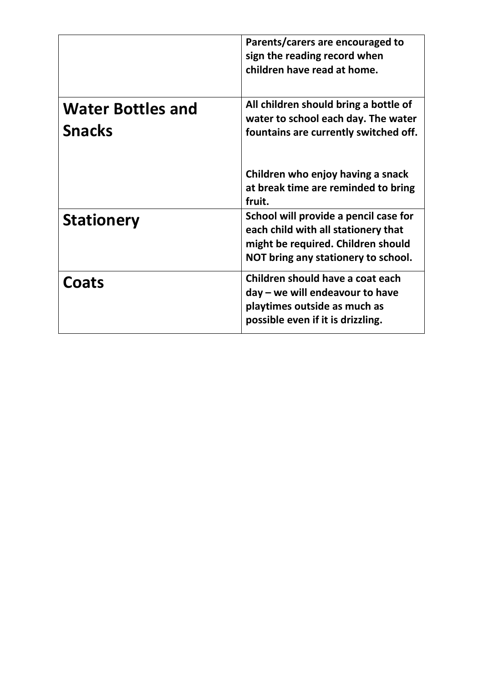|                                           | Parents/carers are encouraged to<br>sign the reading record when<br>children have read at home.                                                                                                             |
|-------------------------------------------|-------------------------------------------------------------------------------------------------------------------------------------------------------------------------------------------------------------|
| <b>Water Bottles and</b><br><b>Snacks</b> | All children should bring a bottle of<br>water to school each day. The water<br>fountains are currently switched off.<br>Children who enjoy having a snack<br>at break time are reminded to bring<br>fruit. |
| <b>Stationery</b>                         | School will provide a pencil case for<br>each child with all stationery that<br>might be required. Children should<br>NOT bring any stationery to school.                                                   |
| Coats                                     | Children should have a coat each<br>day - we will endeavour to have<br>playtimes outside as much as<br>possible even if it is drizzling.                                                                    |